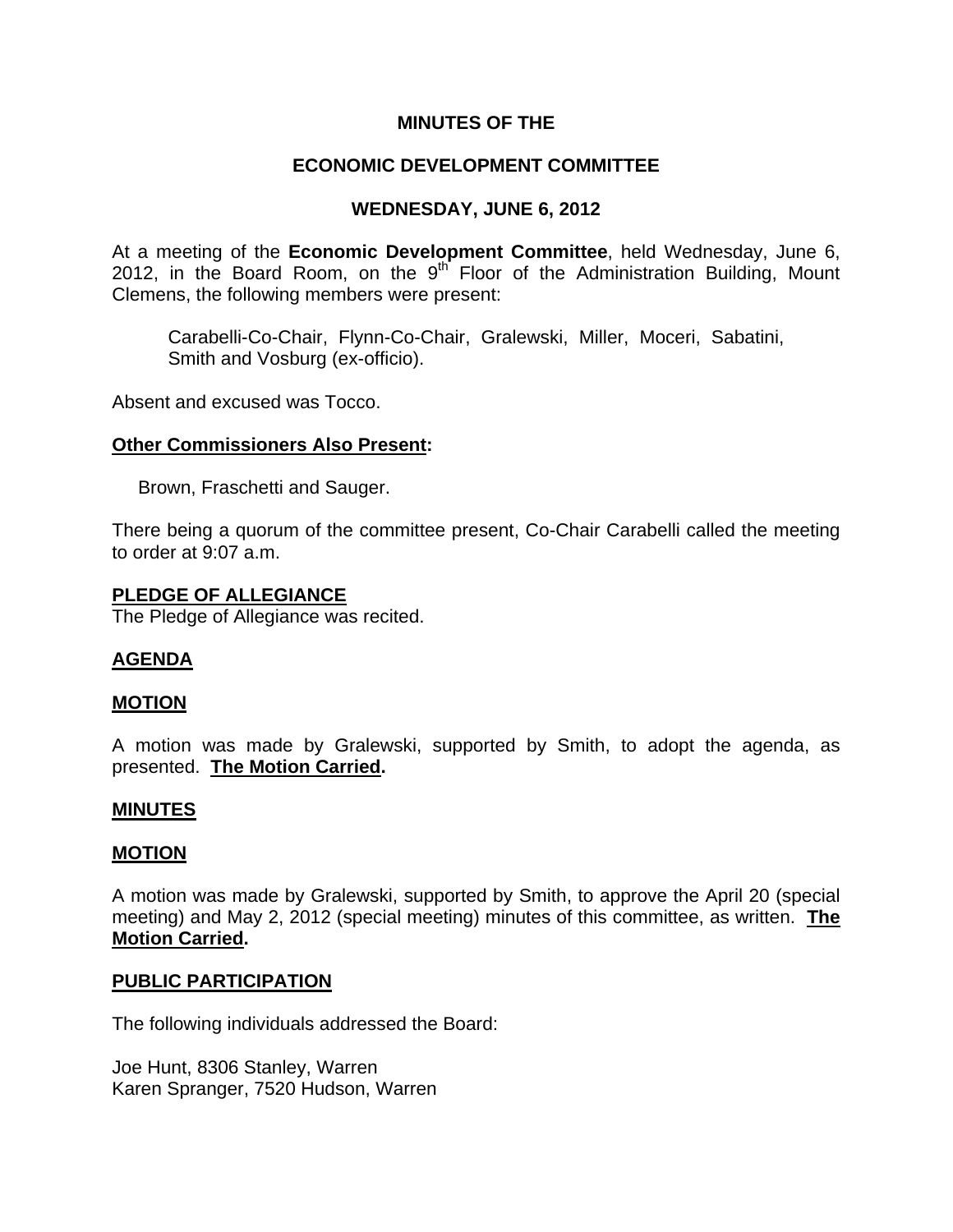# **MINUTES OF THE**

# **ECONOMIC DEVELOPMENT COMMITTEE**

# **WEDNESDAY, JUNE 6, 2012**

At a meeting of the **Economic Development Committee**, held Wednesday, June 6, 2012, in the Board Room, on the  $9<sup>th</sup>$  Floor of the Administration Building, Mount Clemens, the following members were present:

Carabelli-Co-Chair, Flynn-Co-Chair, Gralewski, Miller, Moceri, Sabatini, Smith and Vosburg (ex-officio).

Absent and excused was Tocco.

### **Other Commissioners Also Present:**

Brown, Fraschetti and Sauger.

There being a quorum of the committee present, Co-Chair Carabelli called the meeting to order at 9:07 a.m.

### **PLEDGE OF ALLEGIANCE**

The Pledge of Allegiance was recited.

## **AGENDA**

#### **MOTION**

A motion was made by Gralewski, supported by Smith, to adopt the agenda, as presented. **The Motion Carried.** 

#### **MINUTES**

#### **MOTION**

A motion was made by Gralewski, supported by Smith, to approve the April 20 (special meeting) and May 2, 2012 (special meeting) minutes of this committee, as written. **The Motion Carried.** 

#### **PUBLIC PARTICIPATION**

The following individuals addressed the Board:

Joe Hunt, 8306 Stanley, Warren Karen Spranger, 7520 Hudson, Warren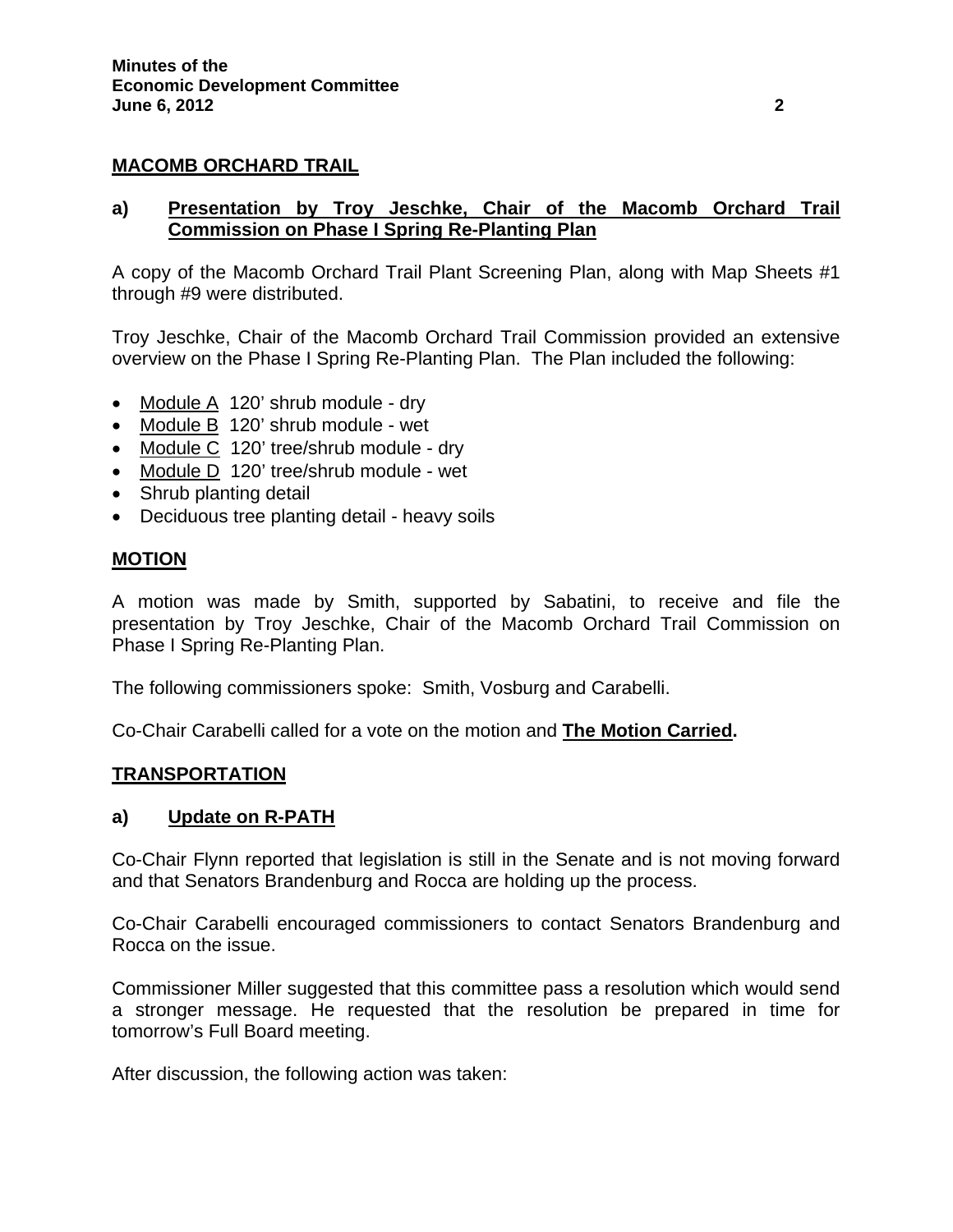## **MACOMB ORCHARD TRAIL**

## **a) Presentation by Troy Jeschke, Chair of the Macomb Orchard Trail Commission on Phase I Spring Re-Planting Plan**

A copy of the Macomb Orchard Trail Plant Screening Plan, along with Map Sheets #1 through #9 were distributed.

Troy Jeschke, Chair of the Macomb Orchard Trail Commission provided an extensive overview on the Phase I Spring Re-Planting Plan. The Plan included the following:

- Module A 120' shrub module dry
- Module B 120' shrub module wet
- Module C 120' tree/shrub module dry
- Module D 120' tree/shrub module wet
- Shrub planting detail
- Deciduous tree planting detail heavy soils

## **MOTION**

A motion was made by Smith, supported by Sabatini, to receive and file the presentation by Troy Jeschke, Chair of the Macomb Orchard Trail Commission on Phase I Spring Re-Planting Plan.

The following commissioners spoke: Smith, Vosburg and Carabelli.

Co-Chair Carabelli called for a vote on the motion and **The Motion Carried.** 

## **TRANSPORTATION**

## **a) Update on R-PATH**

Co-Chair Flynn reported that legislation is still in the Senate and is not moving forward and that Senators Brandenburg and Rocca are holding up the process.

Co-Chair Carabelli encouraged commissioners to contact Senators Brandenburg and Rocca on the issue.

Commissioner Miller suggested that this committee pass a resolution which would send a stronger message. He requested that the resolution be prepared in time for tomorrow's Full Board meeting.

After discussion, the following action was taken: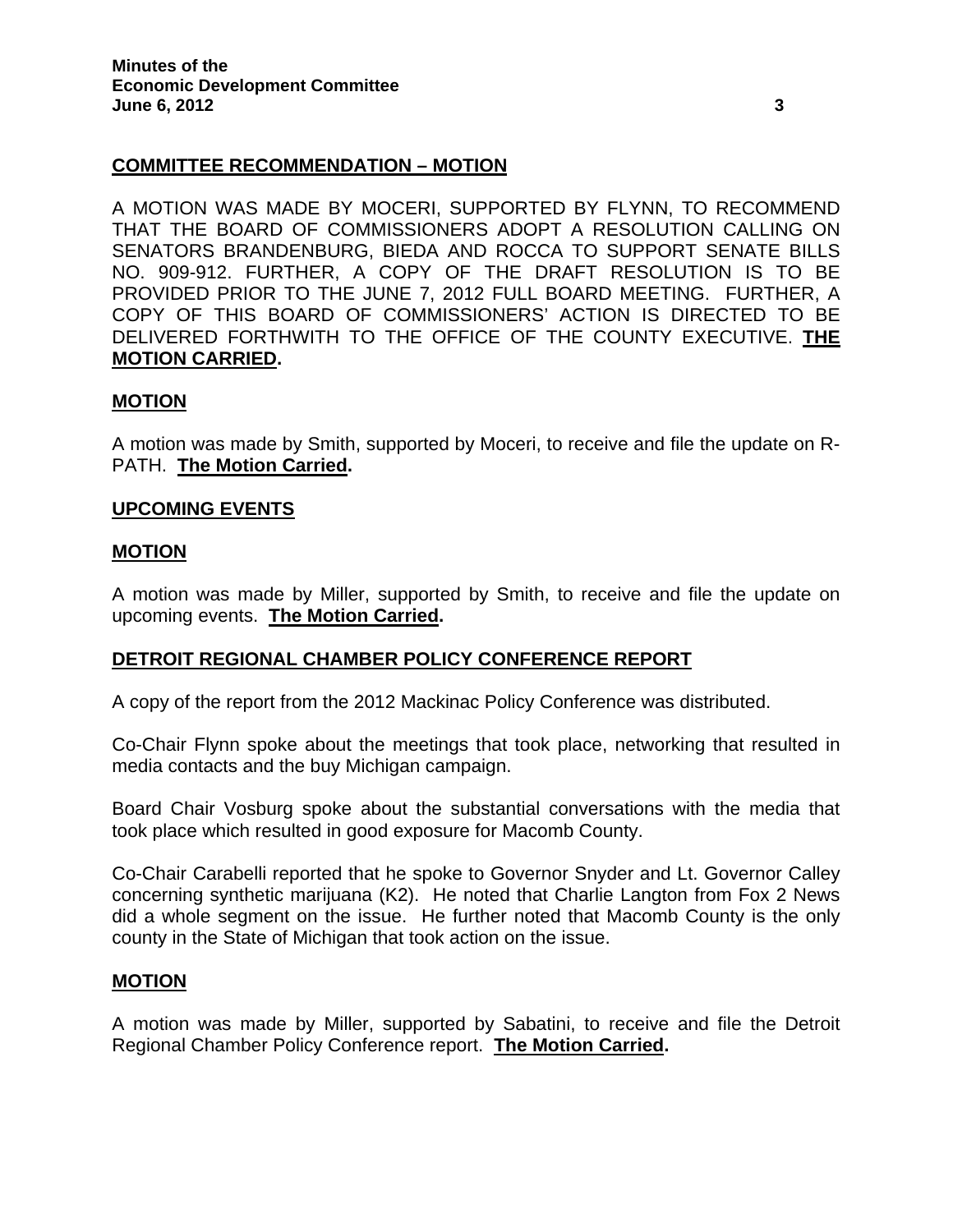# **COMMITTEE RECOMMENDATION – MOTION**

A MOTION WAS MADE BY MOCERI, SUPPORTED BY FLYNN, TO RECOMMEND THAT THE BOARD OF COMMISSIONERS ADOPT A RESOLUTION CALLING ON SENATORS BRANDENBURG, BIEDA AND ROCCA TO SUPPORT SENATE BILLS NO. 909-912. FURTHER, A COPY OF THE DRAFT RESOLUTION IS TO BE PROVIDED PRIOR TO THE JUNE 7, 2012 FULL BOARD MEETING. FURTHER, A COPY OF THIS BOARD OF COMMISSIONERS' ACTION IS DIRECTED TO BE DELIVERED FORTHWITH TO THE OFFICE OF THE COUNTY EXECUTIVE. **THE MOTION CARRIED.** 

## **MOTION**

A motion was made by Smith, supported by Moceri, to receive and file the update on R-PATH. **The Motion Carried.** 

### **UPCOMING EVENTS**

### **MOTION**

A motion was made by Miller, supported by Smith, to receive and file the update on upcoming events. **The Motion Carried.** 

## **DETROIT REGIONAL CHAMBER POLICY CONFERENCE REPORT**

A copy of the report from the 2012 Mackinac Policy Conference was distributed.

Co-Chair Flynn spoke about the meetings that took place, networking that resulted in media contacts and the buy Michigan campaign.

Board Chair Vosburg spoke about the substantial conversations with the media that took place which resulted in good exposure for Macomb County.

Co-Chair Carabelli reported that he spoke to Governor Snyder and Lt. Governor Calley concerning synthetic marijuana (K2). He noted that Charlie Langton from Fox 2 News did a whole segment on the issue. He further noted that Macomb County is the only county in the State of Michigan that took action on the issue.

#### **MOTION**

A motion was made by Miller, supported by Sabatini, to receive and file the Detroit Regional Chamber Policy Conference report. **The Motion Carried.**